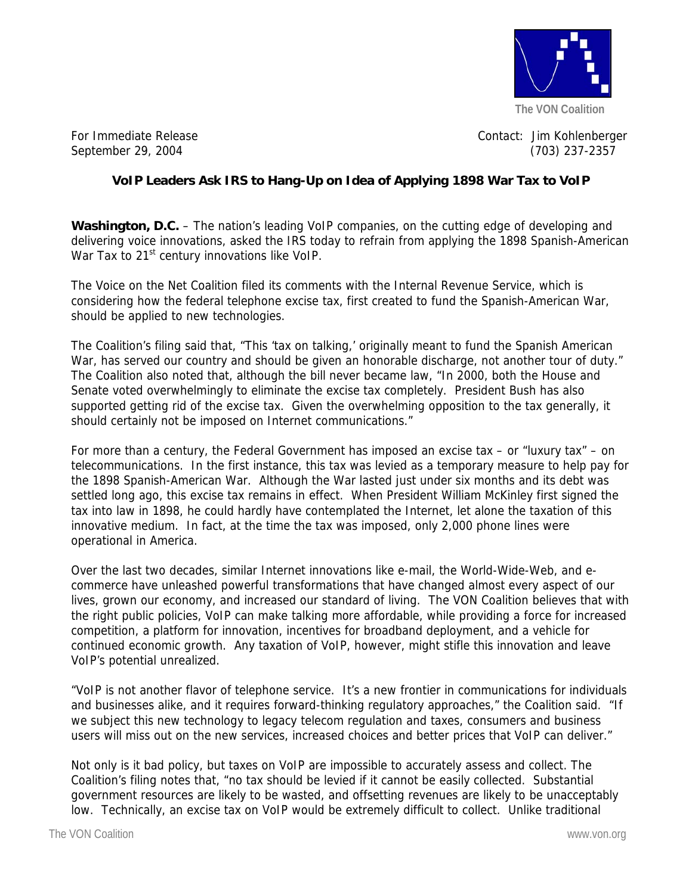

For Immediate Release Contact: Jim Kohlenberger September 29, 2004 (703) 237-2357

## **VoIP Leaders Ask IRS to Hang-Up on Idea of Applying 1898 War Tax to VoIP**

**Washington, D.C.** – The nation's leading VoIP companies, on the cutting edge of developing and delivering voice innovations, asked the IRS today to refrain from applying the 1898 Spanish-American War Tax to 21<sup>st</sup> century innovations like VoIP.

The Voice on the Net Coalition filed its comments with the Internal Revenue Service, which is considering how the federal telephone excise tax, first created to fund the Spanish-American War, should be applied to new technologies.

The Coalition's filing said that, "This 'tax on talking,' originally meant to fund the Spanish American War, has served our country and should be given an honorable discharge, not another tour of duty." The Coalition also noted that, although the bill never became law, "In 2000, both the House and Senate voted overwhelmingly to eliminate the excise tax completely. President Bush has also supported getting rid of the excise tax. Given the overwhelming opposition to the tax generally, it should certainly not be imposed on Internet communications."

For more than a century, the Federal Government has imposed an excise tax – or "luxury tax" – on telecommunications. In the first instance, this tax was levied as a temporary measure to help pay for the 1898 Spanish-American War. Although the War lasted just under six months and its debt was settled long ago, this excise tax remains in effect. When President William McKinley first signed the tax into law in 1898, he could hardly have contemplated the Internet, let alone the taxation of this innovative medium. In fact, at the time the tax was imposed, only 2,000 phone lines were operational in America.

Over the last two decades, similar Internet innovations like e-mail, the World-Wide-Web, and ecommerce have unleashed powerful transformations that have changed almost every aspect of our lives, grown our economy, and increased our standard of living. The VON Coalition believes that with the right public policies, VoIP can make talking more affordable, while providing a force for increased competition, a platform for innovation, incentives for broadband deployment, and a vehicle for continued economic growth. Any taxation of VoIP, however, might stifle this innovation and leave VoIP's potential unrealized.

"VoIP is not another flavor of telephone service. It's a new frontier in communications for individuals and businesses alike, and it requires forward-thinking regulatory approaches," the Coalition said. "If we subject this new technology to legacy telecom regulation and taxes, consumers and business users will miss out on the new services, increased choices and better prices that VoIP can deliver."

Not only is it bad policy, but taxes on VoIP are impossible to accurately assess and collect. The Coalition's filing notes that, "no tax should be levied if it cannot be easily collected. Substantial government resources are likely to be wasted, and offsetting revenues are likely to be unacceptably low. Technically, an excise tax on VoIP would be extremely difficult to collect. Unlike traditional